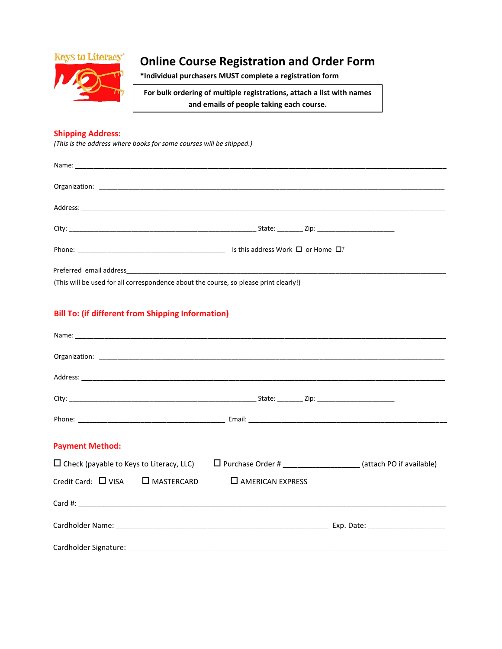

## **Online Course Registration and Order Form**

**\*Individual purchasers MUST complete a registration form**

**For bulk ordering of multiple registrations, attach a list with names and emails of people taking each course.**

## **Shipping Address:**

*(This is the address where books for some courses will be shipped.)*

| (This will be used for all correspondence about the course, so please print clearly!) |  |  |  |  |
|---------------------------------------------------------------------------------------|--|--|--|--|

## **Bill To: (if different from Shipping Information)**

| <b>Payment Method:</b>                          |                         |                                                                        |
|-------------------------------------------------|-------------------------|------------------------------------------------------------------------|
| $\Box$ Check (payable to Keys to Literacy, LLC) |                         | $\Box$ Purchase Order # ______________________(attach PO if available) |
| $C$ redit Card: $\Box$ VISA $\Box$ MASTERCARD   | $\Box$ AMERICAN EXPRESS |                                                                        |
|                                                 |                         |                                                                        |
|                                                 |                         |                                                                        |
|                                                 |                         |                                                                        |